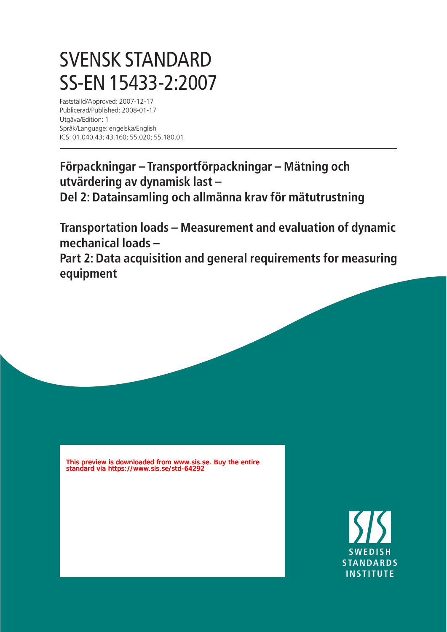## SVENSK STANDARD SS-EN 15433-2:2007

Fastställd/Approved: 2007-12-17 Publicerad/Published: 2008-01-17 Utgåva/Edition: 1 Språk/Language: engelska/English ICS: 01.040.43; 43.160; 55.020; 55.180.01

**Förpackningar – Transportförpackningar – Mätning och utvärdering av dynamisk last – Del 2: Datainsamling och allmänna krav för mätutrustning**

**Transportation loads – Measurement and evaluation of dynamic mechanical loads –** 

**Part 2: Data acquisition and general requirements for measuring equipment**

This preview is downloaded from www.sis.se. Buy the entire standard via https://www.sis.se/std-64292

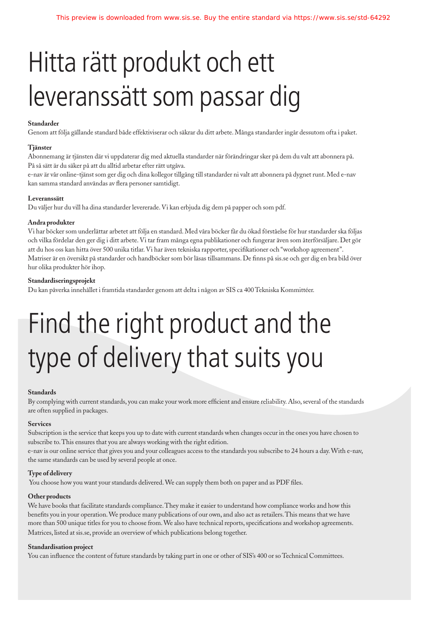## Hitta rätt produkt och ett leveranssätt som passar dig

#### **Standarder**

Genom att följa gällande standard både effektiviserar och säkrar du ditt arbete. Många standarder ingår dessutom ofta i paket.

#### **Tjänster**

Abonnemang är tjänsten där vi uppdaterar dig med aktuella standarder när förändringar sker på dem du valt att abonnera på. På så sätt är du säker på att du alltid arbetar efter rätt utgåva.

e-nav är vår online-tjänst som ger dig och dina kollegor tillgång till standarder ni valt att abonnera på dygnet runt. Med e-nav kan samma standard användas av flera personer samtidigt.

#### **Leveranssätt**

Du väljer hur du vill ha dina standarder levererade. Vi kan erbjuda dig dem på papper och som pdf.

#### **Andra produkter**

Vi har böcker som underlättar arbetet att följa en standard. Med våra böcker får du ökad förståelse för hur standarder ska följas och vilka fördelar den ger dig i ditt arbete. Vi tar fram många egna publikationer och fungerar även som återförsäljare. Det gör att du hos oss kan hitta över 500 unika titlar. Vi har även tekniska rapporter, specifikationer och "workshop agreement". Matriser är en översikt på standarder och handböcker som bör läsas tillsammans. De finns på sis.se och ger dig en bra bild över hur olika produkter hör ihop.

#### **Standardiseringsprojekt**

Du kan påverka innehållet i framtida standarder genom att delta i någon av SIS ca 400 Tekniska Kommittéer.

# Find the right product and the type of delivery that suits you

#### **Standards**

By complying with current standards, you can make your work more efficient and ensure reliability. Also, several of the standards are often supplied in packages.

#### **Services**

Subscription is the service that keeps you up to date with current standards when changes occur in the ones you have chosen to subscribe to. This ensures that you are always working with the right edition.

e-nav is our online service that gives you and your colleagues access to the standards you subscribe to 24 hours a day. With e-nav, the same standards can be used by several people at once.

#### **Type of delivery**

You choose how you want your standards delivered. We can supply them both on paper and as PDF files.

#### **Other products**

We have books that facilitate standards compliance. They make it easier to understand how compliance works and how this benefits you in your operation. We produce many publications of our own, and also act as retailers. This means that we have more than 500 unique titles for you to choose from. We also have technical reports, specifications and workshop agreements. Matrices, listed at sis.se, provide an overview of which publications belong together.

#### **Standardisation project**

You can influence the content of future standards by taking part in one or other of SIS's 400 or so Technical Committees.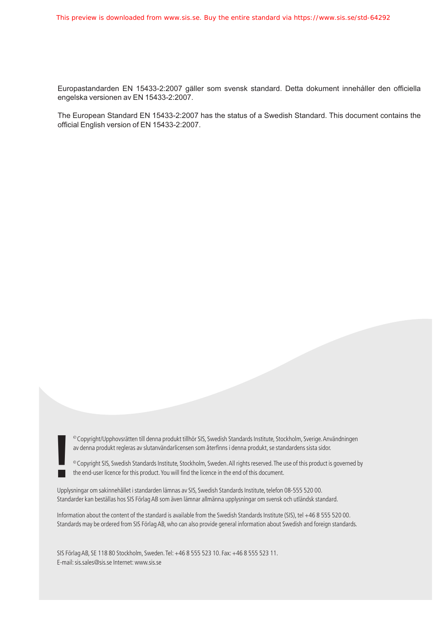Europastandarden EN 15433-2:2007 gäller som svensk standard. Detta dokument innehåller den officiella engelska versionen av EN 15433-2:2007.

The European Standard EN 15433-2:2007 has the status of a Swedish Standard. This document contains the official English version of EN 15433-2:2007.

av denna produkt regleras av slutanvändarlicensen som återfinns i denna produkt, se standardens sista sidor.

<sup>©</sup> Copyright/Upphovsrätten till denna produkt tillhör SIS, Swedish Standards Institute, Stockholm, Sverige. Användningen<br>av denna produkt regleras av slutanvändarlicensen som återfinns i denna produkt, se standardens sis

Upplysningar om sakinnehållet i standarden lämnas av SIS, Swedish Standards Institute, telefon 08-555 520 00. Standarder kan beställas hos SIS Förlag AB som även lämnar allmänna upplysningar om svensk och utländsk standard.

Information about the content of the standard is available from the Swedish Standards Institute (SIS), tel +46 8 555 520 00. Standards may be ordered from SIS Förlag AB, who can also provide general information about Swedish and foreign standards.

SIS Förlag AB, SE 118 80 Stockholm, Sweden. Tel: +46 8 555 523 10. Fax: +46 8 555 523 11. E-mail: sis.sales@sis.se Internet: www.sis.se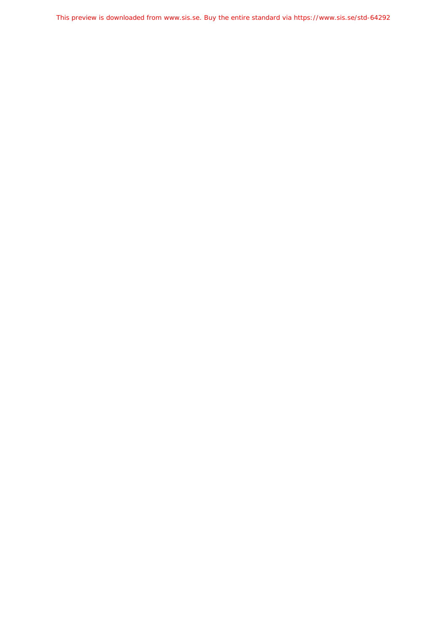This preview is downloaded from www.sis.se. Buy the entire standard via https://www.sis.se/std-64292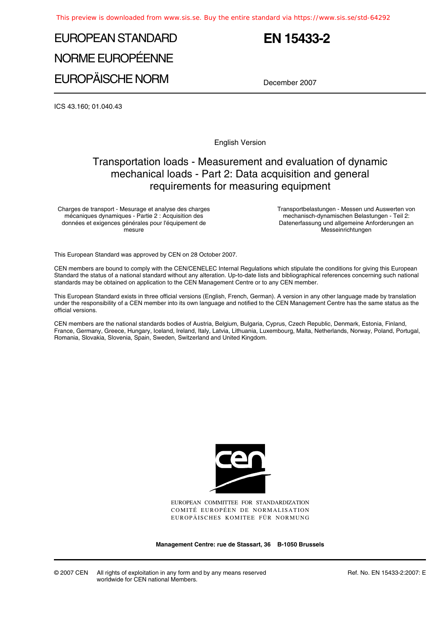### EUROPEAN STANDARD NORME EUROPÉENNE EUROPÄISCHE NORM

### **EN 15433-2**

December 2007

ICS 43.160; 01.040.43

English Version

#### Transportation loads - Measurement and evaluation of dynamic mechanical loads - Part 2: Data acquisition and general requirements for measuring equipment

Charges de transport - Mesurage et analyse des charges mécaniques dynamiques - Partie 2 : Acquisition des données et exigences générales pour l'équipement de **mesure** 

Transportbelastungen - Messen und Auswerten von mechanisch-dynamischen Belastungen - Teil 2: Datenerfassung und allgemeine Anforderungen an **Messeinrichtungen** 

This European Standard was approved by CEN on 28 October 2007.

CEN members are bound to comply with the CEN/CENELEC Internal Regulations which stipulate the conditions for giving this European Standard the status of a national standard without any alteration. Up-to-date lists and bibliographical references concerning such national standards may be obtained on application to the CEN Management Centre or to any CEN member.

This European Standard exists in three official versions (English, French, German). A version in any other language made by translation under the responsibility of a CEN member into its own language and notified to the CEN Management Centre has the same status as the official versions.

CEN members are the national standards bodies of Austria, Belgium, Bulgaria, Cyprus, Czech Republic, Denmark, Estonia, Finland, France, Germany, Greece, Hungary, Iceland, Ireland, Italy, Latvia, Lithuania, Luxembourg, Malta, Netherlands, Norway, Poland, Portugal, Romania, Slovakia, Slovenia, Spain, Sweden, Switzerland and United Kingdom.



EUROPEAN COMMITTEE FOR STANDARDIZATION COMITÉ EUROPÉEN DE NORMALISATION EUROPÄISCHES KOMITEE FÜR NORMUNG

**Management Centre: rue de Stassart, 36 B-1050 Brussels**

© 2007 CEN All rights of exploitation in any form and by any means reserved worldwide for CEN national Members.

Ref. No. EN 15433-2:2007: E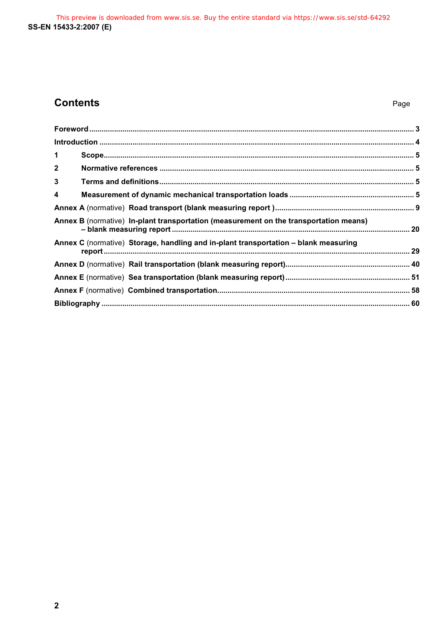This preview is downloaded from www.sis.se. Buy the entire standard via https://www.sis.se/std-64292 SS-EN 15433-2:2007 (E)

#### **Contents**

Page

| $\mathbf{1}$                                                                          |  |
|---------------------------------------------------------------------------------------|--|
| $\overline{2}$                                                                        |  |
| $\mathbf{3}$                                                                          |  |
| 4                                                                                     |  |
|                                                                                       |  |
| Annex B (normative) In-plant transportation (measurement on the transportation means) |  |
| Annex C (normative) Storage, handling and in-plant transportation - blank measuring   |  |
|                                                                                       |  |
|                                                                                       |  |
|                                                                                       |  |
|                                                                                       |  |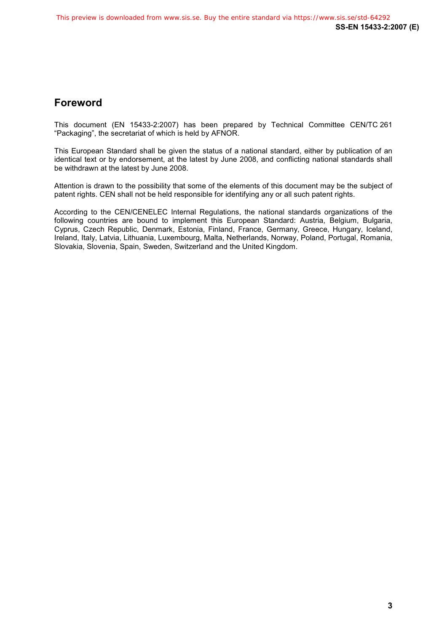#### **Foreword**

This document (EN 15433-2:2007) has been prepared by Technical Committee CEN/TC 261 "Packaging", the secretariat of which is held by AFNOR.

This European Standard shall be given the status of a national standard, either by publication of an identical text or by endorsement, at the latest by June 2008, and conflicting national standards shall be withdrawn at the latest by June 2008.

Attention is drawn to the possibility that some of the elements of this document may be the subject of patent rights. CEN shall not be held responsible for identifying any or all such patent rights.

According to the CEN/CENELEC Internal Regulations, the national standards organizations of the following countries are bound to implement this European Standard: Austria, Belgium, Bulgaria, Cyprus, Czech Republic, Denmark, Estonia, Finland, France, Germany, Greece, Hungary, Iceland, Ireland, Italy, Latvia, Lithuania, Luxembourg, Malta, Netherlands, Norway, Poland, Portugal, Romania, Slovakia, Slovenia, Spain, Sweden, Switzerland and the United Kingdom.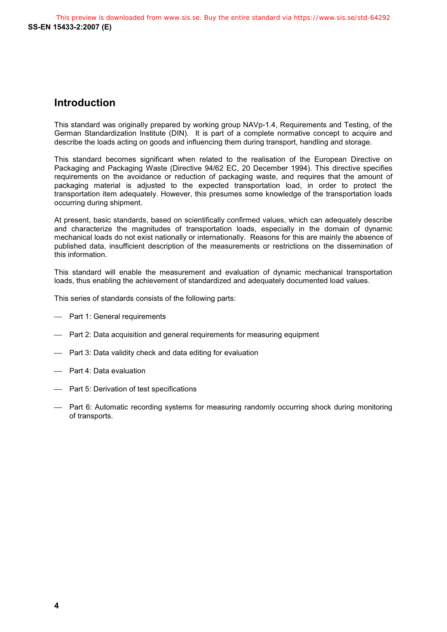#### **Introduction**

This standard was originally prepared by working group NAVp-1.4, Requirements and Testing, of the German Standardization Institute (DIN). It is part of a complete normative concept to acquire and describe the loads acting on goods and influencing them during transport, handling and storage.

This standard becomes significant when related to the realisation of the European Directive on Packaging and Packaging Waste (Directive 94/62 EC, 20 December 1994). This directive specifies requirements on the avoidance or reduction of packaging waste, and requires that the amount of packaging material is adjusted to the expected transportation load, in order to protect the transportation item adequately. However, this presumes some knowledge of the transportation loads occurring during shipment.

At present, basic standards, based on scientifically confirmed values, which can adequately describe and characterize the magnitudes of transportation loads, especially in the domain of dynamic mechanical loads do not exist nationally or internationally. Reasons for this are mainly the absence of published data, insufficient description of the measurements or restrictions on the dissemination of this information.

This standard will enable the measurement and evaluation of dynamic mechanical transportation loads, thus enabling the achievement of standardized and adequately documented load values.

This series of standards consists of the following parts:

- Part 1: General requirements
- ⎯ Part 2: Data acquisition and general requirements for measuring equipment
- Part 3: Data validity check and data editing for evaluation
- Part 4: Data evaluation
- Part 5: Derivation of test specifications
- ⎯ Part 6: Automatic recording systems for measuring randomly occurring shock during monitoring of transports.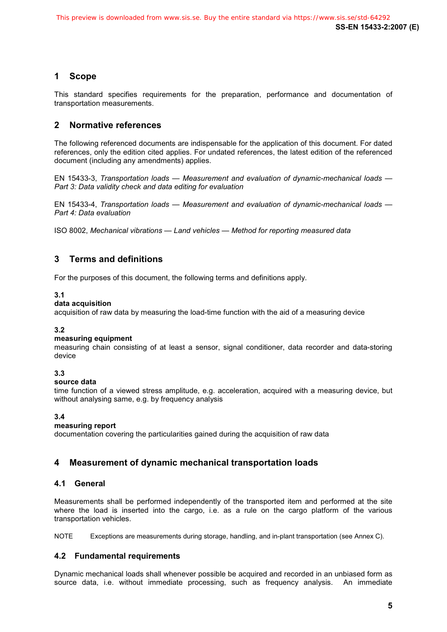#### **1 Scope**

This standard specifies requirements for the preparation, performance and documentation of transportation measurements.

#### **2 Normative references**

The following referenced documents are indispensable for the application of this document. For dated references, only the edition cited applies. For undated references, the latest edition of the referenced document (including any amendments) applies.

EN 15433-3, *Transportation loads — Measurement and evaluation of dynamic-mechanical loads — Part 3: Data validity check and data editing for evaluation* 

EN 15433-4, *Transportation loads — Measurement and evaluation of dynamic-mechanical loads — Part 4: Data evaluation* 

ISO 8002, *Mechanical vibrations — Land vehicles — Method for reporting measured data*

#### **3 Terms and definitions**

For the purposes of this document, the following terms and definitions apply.

#### **3.1**

#### **data acquisition**

acquisition of raw data by measuring the load-time function with the aid of a measuring device

#### **3.2**

#### **measuring equipment**

measuring chain consisting of at least a sensor, signal conditioner, data recorder and data-storing device

#### **3.3**

#### **source data**

time function of a viewed stress amplitude, e.g. acceleration, acquired with a measuring device, but without analysing same, e.g. by frequency analysis

#### **3.4**

#### **measuring report**

documentation covering the particularities gained during the acquisition of raw data

#### **4 Measurement of dynamic mechanical transportation loads**

#### **4.1 General**

Measurements shall be performed independently of the transported item and performed at the site where the load is inserted into the cargo, i.e. as a rule on the cargo platform of the various transportation vehicles.

NOTE Exceptions are measurements during storage, handling, and in-plant transportation (see Annex C).

#### **4.2 Fundamental requirements**

Dynamic mechanical loads shall whenever possible be acquired and recorded in an unbiased form as source data, i.e. without immediate processing, such as frequency analysis. An immediate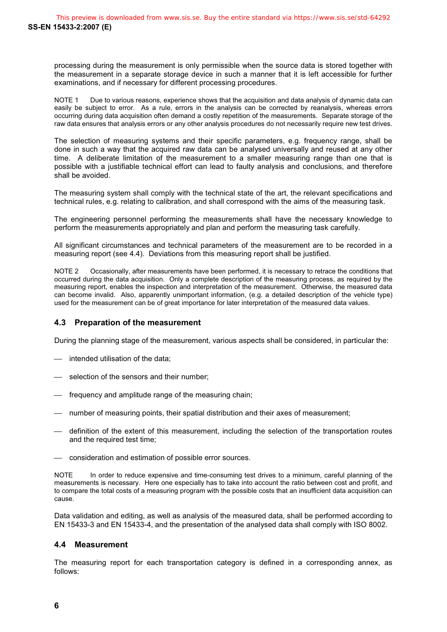processing during the measurement is only permissible when the source data is stored together with the measurement in a separate storage device in such a manner that it is left accessible for further examinations, and if necessary for different processing procedures.

NOTE 1 Due to various reasons, experience shows that the acquisition and data analysis of dynamic data can easily be subject to error. As a rule, errors in the analysis can be corrected by reanalysis, whereas errors occurring during data acquisition often demand a costly repetition of the measurements. Separate storage of the raw data ensures that analysis errors or any other analysis procedures do not necessarily require new test drives.

The selection of measuring systems and their specific parameters, e.g. frequency range, shall be done in such a way that the acquired raw data can be analysed universally and reused at any other time. A deliberate limitation of the measurement to a smaller measuring range than one that is possible with a justifiable technical effort can lead to faulty analysis and conclusions, and therefore shall be avoided.

The measuring system shall comply with the technical state of the art, the relevant specifications and technical rules, e.g. relating to calibration, and shall correspond with the aims of the measuring task.

The engineering personnel performing the measurements shall have the necessary knowledge to perform the measurements appropriately and plan and perform the measuring task carefully.

All significant circumstances and technical parameters of the measurement are to be recorded in a measuring report (see 4.4). Deviations from this measuring report shall be justified.

NOTE 2 Occasionally, after measurements have been performed, it is necessary to retrace the conditions that occurred during the data acquisition. Only a complete description of the measuring process, as required by the measuring report, enables the inspection and interpretation of the measurement. Otherwise, the measured data can become invalid. Also, apparently unimportant information, (e.g. a detailed description of the vehicle type) used for the measurement can be of great importance for later interpretation of the measured data values.

#### **4.3 Preparation of the measurement**

During the planning stage of the measurement, various aspects shall be considered, in particular the:

- $-$  intended utilisation of the data:
- ⎯ selection of the sensors and their number;
- frequency and amplitude range of the measuring chain;
- ⎯ number of measuring points, their spatial distribution and their axes of measurement;
- ⎯ definition of the extent of this measurement, including the selection of the transportation routes and the required test time;
- ⎯ consideration and estimation of possible error sources.

NOTE In order to reduce expensive and time-consuming test drives to a minimum, careful planning of the measurements is necessary. Here one especially has to take into account the ratio between cost and profit, and to compare the total costs of a measuring program with the possible costs that an insufficient data acquisition can cause.

Data validation and editing, as well as analysis of the measured data, shall be performed according to EN 15433-3 and EN 15433-4, and the presentation of the analysed data shall comply with ISO 8002.

#### **4.4 Measurement**

The measuring report for each transportation category is defined in a corresponding annex, as follows: